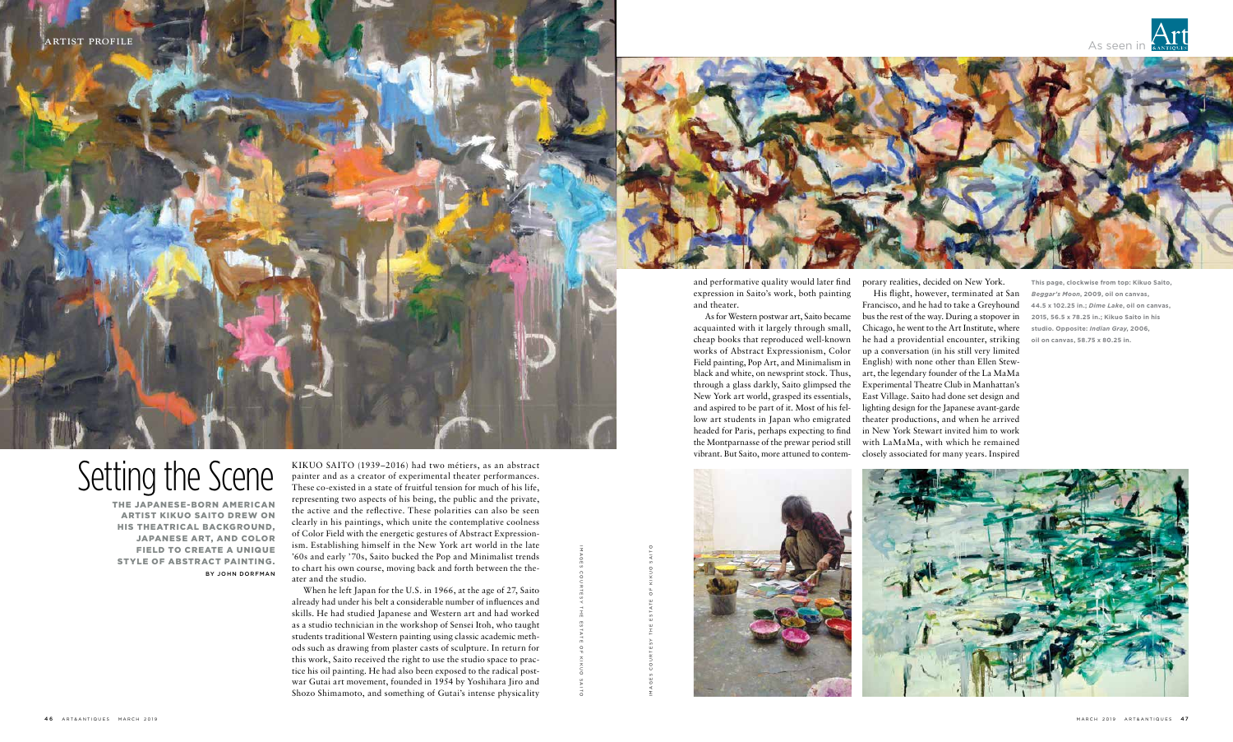

## Setting the Scene

THE JAPANESE-BORN AMERICAN ARTIST KIKUO SAITO DREW ON HIS THEATRICAL BACKGROUND, JAPANESE ART, AND COLOR FIELD TO CREATE A UNIQUE STYLE OF ABSTRACT PAINTING. BY JOHN DORFMAN

**This page, clockwise from top: Kikuo Saito,**  *Beggar's Moon***, 2009, oil on canvas, 44.5 x 102.25 in.;** *Dime Lake***, oil on canvas, 2015, 56.5 x 78.25 in.; Kikuo Saito in his studio. Opposite:** *Indian Gray***, 2006, oil on canvas, 58.75 x 80.25 in.**

KIKUO SAITO (1939–2016) had two métiers, as an abstract painter and as a creator of experimental theater performances. These co-existed in a state of fruitful tension for much of his life, representing two aspects of his being, the public and the private, the active and the reflective. These polarities can also be seen clearly in his paintings, which unite the contemplative coolness of Color Field with the energetic gestures of Abstract Expressionism. Establishing himself in the New York art world in the late '60s and early '70s, Saito bucked the Pop and Minimalist trends to chart his own course, moving back and forth between the theater and the studio.

When he left Japan for the U.S. in 1966, at the age of 27, Saito already had under his belt a considerable number of influences and skills. He had studied Japanese and Western art and had worked as a studio technician in the workshop of Sensei Itoh, who taught students traditional Western painting using classic academic methods such as drawing from plaster casts of sculpture. In return for this work, Saito received the right to use the studio space to practice his oil painting. He had also been exposed to the radical postwar Gutai art movement, founded in 1954 by Yoshihara Jiro and Shozo Shimamoto, and something of Gutai's intense physicality







and performative quality would later find expression in Saito's work, both painting and theater.

As for Western postwar art, Saito became acquainted with it largely through small, cheap books that reproduced well-known works of Abstract Expressionism, Color Field painting, Pop Art, and Minimalism in black and white, on newsprint stock. Thus, through a glass darkly, Saito glimpsed the New York art world, grasped its essentials, and aspired to be part of it. Most of his fellow art students in Japan who emigrated headed for Paris, perhaps expecting to find the Montparnasse of the prewar period still vibrant. But Saito, more attuned to contem-



porary realities, decided on New York.

His flight, however, terminated at San Francisco, and he had to take a Greyhound bus the rest of the way. During a stopover in Chicago, he went to the Art Institute, where he had a providential encounter, striking up a conversation (in his still very limited English) with none other than Ellen Stewart, the legendary founder of the La MaMa Experimental Theatre Club in Manhattan's East Village. Saito had done set design and lighting design for the Japanese avant-garde theater productions, and when he arrived in New York Stewart invited him to work with LaMaMa, with which he remained closely associated for many years. Inspired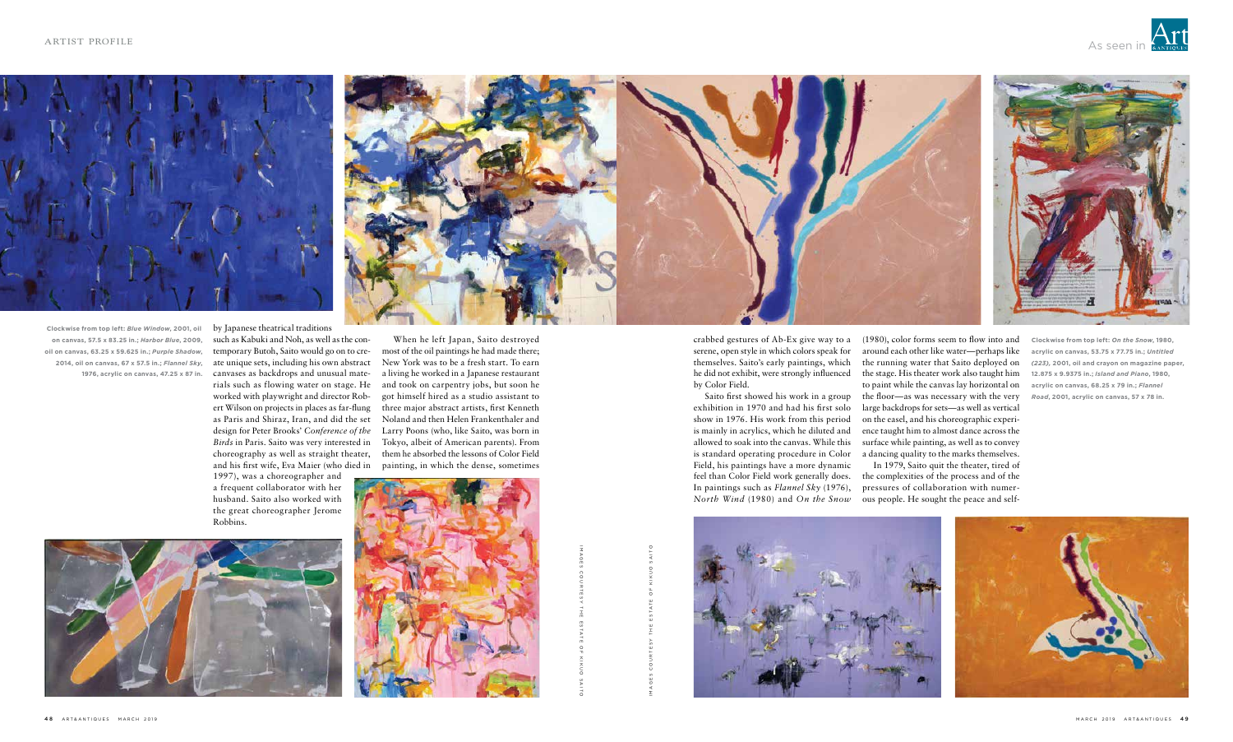



by Japanese theatrical traditions such as Kabuki and Noh, as well as the con-

temporary Butoh, Saito would go on to create unique sets, including his own abstract canvases as backdrops and unusual materials such as flowing water on stage. He worked with playwright and director Robert Wilson on projects in places as far-flung as Paris and Shiraz, Iran, and did the set design for Peter Brooks' *Conference of the Birds* in Paris. Saito was very interested in choreography as well as straight theater, and his first wife, Eva Maier (who died in

1997), was a choreographer and a frequent collaborator with her husband. Saito also worked with the great choreographer Jerome Robbins.

When he left Japan, Saito destroyed most of the oil paintings he had made there; New York was to be a fresh start. To earn a living he worked in a Japanese restaurant and took on carpentry jobs, but soon he got himself hired as a studio assistant to three major abstract artists, first Kenneth Noland and then Helen Frankenthaler and Larry Poons (who, like Saito, was born in Tokyo, albeit of American parents). From them he absorbed the lessons of Color Field painting, in which the dense, sometimes





**Clockwise from top left:** *On the Snow***, 1980, acrylic on canvas, 53.75 x 77.75 in.;** *Untitled (223),* **2001, oil and crayon on magazine paper, 12.875 x 9.9375 in.;** *Island and Piano***, 1980, acrylic on canvas, 68.25 x 79 in.;** *Flannel Road***, 2001, acrylic on canvas, 57 x 78 in.**



**Clockwise from top left:** *Blue Window***, 2001, oil on canvas, 57.5 x 83.25 in.;** *Harbor Blue***, 2009, oil on canvas, 63.25 x 59.625 in.;** *Purple Shadow***, 2014, oil on canvas, 67 x 57.5 in.;** *Flannel Sky***, 1976, acrylic on canvas, 47.25 x 87 in.**

crabbed gestures of Ab-Ex give way to a serene, open style in which colors speak for themselves. Saito's early paintings, which he did not exhibit, were strongly influenced by Color Field.

Saito first showed his work in a group exhibition in 1970 and had his first solo show in 1976. His work from this period is mainly in acrylics, which he diluted and allowed to soak into the canvas. While this is standard operating procedure in Color Field, his paintings have a more dynamic feel than Color Field work generally does. In paintings such as *Flannel Sky* (1976), *North Wind* (1980) and *On the Snow*

(1980), color forms seem to flow into and around each other like water—perhaps like the running water that Saito deployed on the stage. His theater work also taught him to paint while the canvas lay horizontal on the floor—as was necessary with the very large backdrops for sets—as well as vertical on the easel, and his choreographic experience taught him to almost dance across the surface while painting, as well as to convey a dancing quality to the marks themselves.

In 1979, Saito quit the theater, tired of the complexities of the process and of the pressures of collaboration with numerous people. He sought the peace and self-

IMAGES

COURTESY

THE

ESTATE

KIKUO